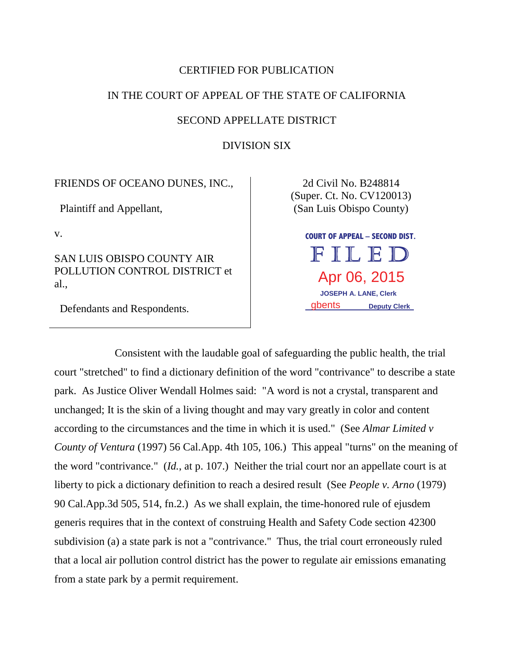# CERTIFIED FOR PUBLICATION

# IN THE COURT OF APPEAL OF THE STATE OF CALIFORNIA

#### SECOND APPELLATE DISTRICT

DIVISION SIX

## FRIENDS OF OCEANO DUNES, INC.,

Plaintiff and Appellant,

v.

SAN LUIS OBISPO COUNTY AIR POLLUTION CONTROL DISTRICT et al.,

Defendants and Respondents.

2d Civil No. B248814 (Super. Ct. No. CV120013) (San Luis Obispo County)

> **COURT OF APPEAL – SECOND DIST.**  FILED Apr 06, 2015  **JOSEPH A. LANE, Clerk**  gbents **Deputy Clerk**

Consistent with the laudable goal of safeguarding the public health, the trial court "stretched" to find a dictionary definition of the word "contrivance" to describe a state park. As Justice Oliver Wendall Holmes said: "A word is not a crystal, transparent and unchanged; It is the skin of a living thought and may vary greatly in color and content according to the circumstances and the time in which it is used." (See *Almar Limited v County of Ventura* (1997) 56 Cal.App. 4th 105, 106.) This appeal "turns" on the meaning of the word "contrivance." (*Id.*, at p. 107.) Neither the trial court nor an appellate court is at liberty to pick a dictionary definition to reach a desired result (See *People v. Arno* (1979) 90 Cal.App.3d 505, 514, fn.2.) As we shall explain, the time-honored rule of ejusdem generis requires that in the context of construing Health and Safety Code section 42300 subdivision (a) a state park is not a "contrivance." Thus, the trial court erroneously ruled that a local air pollution control district has the power to regulate air emissions emanating from a state park by a permit requirement.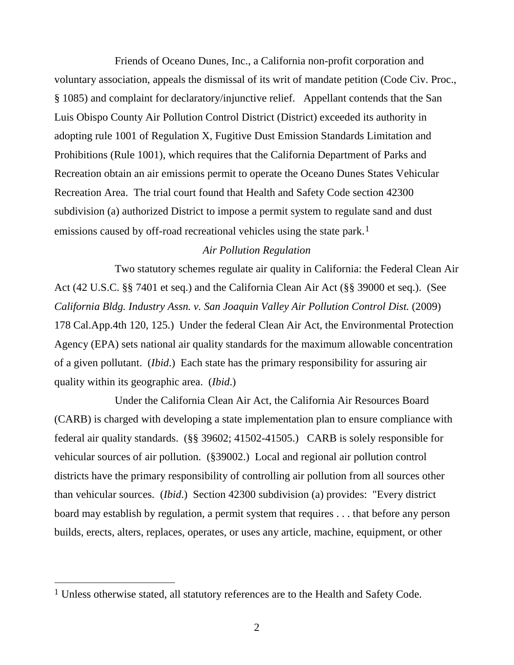Friends of Oceano Dunes, Inc., a California non-profit corporation and voluntary association, appeals the dismissal of its writ of mandate petition (Code Civ. Proc., § 1085) and complaint for declaratory/injunctive relief. Appellant contends that the San Luis Obispo County Air Pollution Control District (District) exceeded its authority in adopting rule 1001 of Regulation X, Fugitive Dust Emission Standards Limitation and Prohibitions (Rule 1001), which requires that the California Department of Parks and Recreation obtain an air emissions permit to operate the Oceano Dunes States Vehicular Recreation Area. The trial court found that Health and Safety Code section 42300 subdivision (a) authorized District to impose a permit system to regulate sand and dust emissions caused by off-road recreational vehicles using the state park.<sup>1</sup>

# *Air Pollution Regulation*

Two statutory schemes regulate air quality in California: the Federal Clean Air Act (42 U.S.C. §§ 7401 et seq.) and the California Clean Air Act (§§ 39000 et seq.). (See *California Bldg. Industry Assn. v. San Joaquin Valley Air Pollution Control Dist.* (2009) 178 Cal.App.4th 120, 125.) Under the federal Clean Air Act, the Environmental Protection Agency (EPA) sets national air quality standards for the maximum allowable concentration of a given pollutant. (*Ibid*.) Each state has the primary responsibility for assuring air quality within its geographic area. (*Ibid*.)

Under the California Clean Air Act, the California Air Resources Board (CARB) is charged with developing a state implementation plan to ensure compliance with federal air quality standards. (§§ 39602; 41502-41505.) CARB is solely responsible for vehicular sources of air pollution. (§39002.) Local and regional air pollution control districts have the primary responsibility of controlling air pollution from all sources other than vehicular sources. (*Ibid*.) Section 42300 subdivision (a) provides: "Every district board may establish by regulation, a permit system that requires . . . that before any person builds, erects, alters, replaces, operates, or uses any article, machine, equipment, or other

<sup>&</sup>lt;sup>1</sup> Unless otherwise stated, all statutory references are to the Health and Safety Code.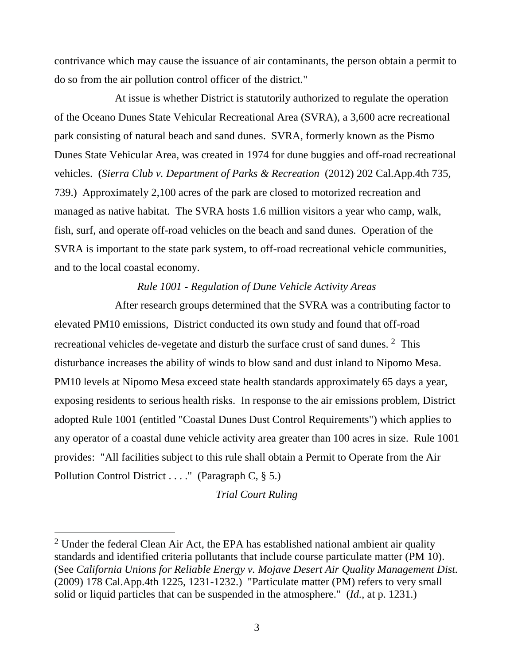contrivance which may cause the issuance of air contaminants, the person obtain a permit to do so from the air pollution control officer of the district."

At issue is whether District is statutorily authorized to regulate the operation of the Oceano Dunes State Vehicular Recreational Area (SVRA), a 3,600 acre recreational park consisting of natural beach and sand dunes. SVRA, formerly known as the Pismo Dunes State Vehicular Area, was created in 1974 for dune buggies and off-road recreational vehicles. (*Sierra Club v. Department of Parks & Recreation* (2012) 202 Cal.App.4th 735, 739.) Approximately 2,100 acres of the park are closed to motorized recreation and managed as native habitat. The SVRA hosts 1.6 million visitors a year who camp, walk, fish, surf, and operate off-road vehicles on the beach and sand dunes. Operation of the SVRA is important to the state park system, to off-road recreational vehicle communities, and to the local coastal economy.

# *Rule 1001 - Regulation of Dune Vehicle Activity Areas*

After research groups determined that the SVRA was a contributing factor to elevated PM10 emissions, District conducted its own study and found that off-road recreational vehicles de-vegetate and disturb the surface crust of sand dunes. <sup>2</sup> This disturbance increases the ability of winds to blow sand and dust inland to Nipomo Mesa. PM10 levels at Nipomo Mesa exceed state health standards approximately 65 days a year, exposing residents to serious health risks. In response to the air emissions problem, District adopted Rule 1001 (entitled "Coastal Dunes Dust Control Requirements") which applies to any operator of a coastal dune vehicle activity area greater than 100 acres in size. Rule 1001 provides: "All facilities subject to this rule shall obtain a Permit to Operate from the Air Pollution Control District . . . . " (Paragraph  $C, \S$  5.)

*Trial Court Ruling*

<sup>&</sup>lt;sup>2</sup> Under the federal Clean Air Act, the EPA has established national ambient air quality standards and identified criteria pollutants that include course particulate matter (PM 10). (See *California Unions for Reliable Energy v. Mojave Desert Air Quality Management Dist.*  (2009) 178 Cal.App.4th 1225, 1231-1232.) "Particulate matter (PM) refers to very small solid or liquid particles that can be suspended in the atmosphere." (*Id.*, at p. 1231.)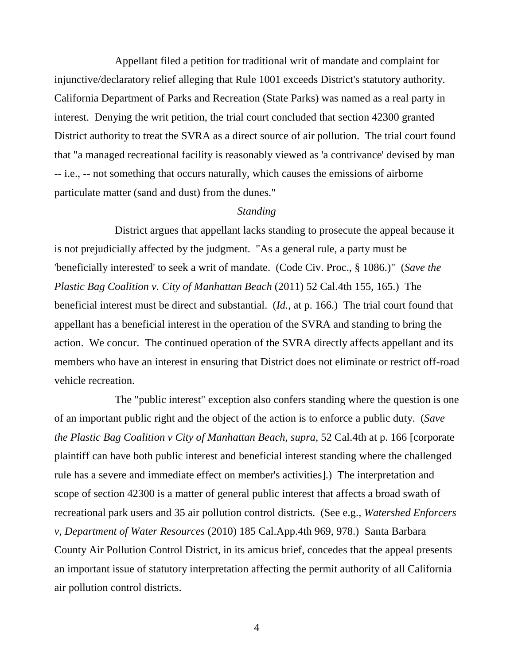Appellant filed a petition for traditional writ of mandate and complaint for injunctive/declaratory relief alleging that Rule 1001 exceeds District's statutory authority. California Department of Parks and Recreation (State Parks) was named as a real party in interest. Denying the writ petition, the trial court concluded that section 42300 granted District authority to treat the SVRA as a direct source of air pollution. The trial court found that "a managed recreational facility is reasonably viewed as 'a contrivance' devised by man -- i.e., -- not something that occurs naturally, which causes the emissions of airborne particulate matter (sand and dust) from the dunes."

#### *Standing*

District argues that appellant lacks standing to prosecute the appeal because it is not prejudicially affected by the judgment. "As a general rule, a party must be 'beneficially interested' to seek a writ of mandate. (Code Civ. Proc., § 1086.)" (*Save the Plastic Bag Coalition v. City of Manhattan Beach* (2011) 52 Cal.4th 155, 165.) The beneficial interest must be direct and substantial. (*Id.*, at p. 166.) The trial court found that appellant has a beneficial interest in the operation of the SVRA and standing to bring the action. We concur. The continued operation of the SVRA directly affects appellant and its members who have an interest in ensuring that District does not eliminate or restrict off-road vehicle recreation.

The "public interest" exception also confers standing where the question is one of an important public right and the object of the action is to enforce a public duty. (*Save the Plastic Bag Coalition v City of Manhattan Beach, supra, 52 Cal.4th at p. 166 [corporate* plaintiff can have both public interest and beneficial interest standing where the challenged rule has a severe and immediate effect on member's activities].) The interpretation and scope of section 42300 is a matter of general public interest that affects a broad swath of recreational park users and 35 air pollution control districts. (See e.g., *Watershed Enforcers v, Department of Water Resources* (2010) 185 Cal.App.4th 969, 978.) Santa Barbara County Air Pollution Control District, in its amicus brief, concedes that the appeal presents an important issue of statutory interpretation affecting the permit authority of all California air pollution control districts.

4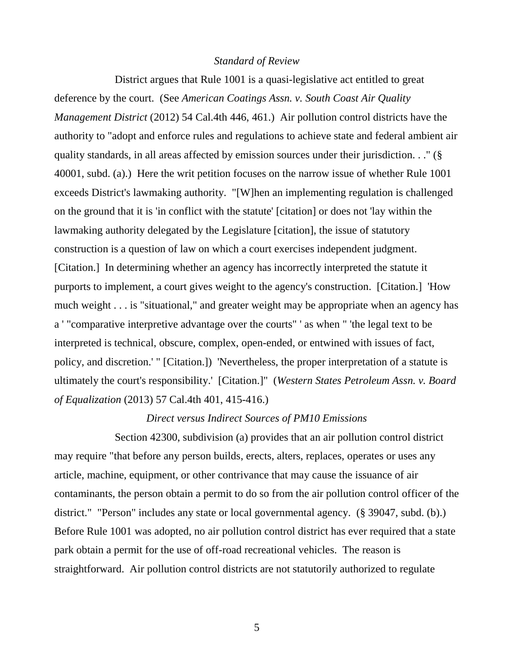### *Standard of Review*

District argues that Rule 1001 is a quasi-legislative act entitled to great deference by the court. (See *American Coatings Assn. v. South Coast Air Quality Management District* (2012) 54 Cal.4th 446, 461.) Air pollution control districts have the authority to "adopt and enforce rules and regulations to achieve state and federal ambient air quality standards, in all areas affected by emission sources under their jurisdiction. . ." (§ 40001, subd. (a).) Here the writ petition focuses on the narrow issue of whether Rule 1001 exceeds District's lawmaking authority. "[W]hen an implementing regulation is challenged on the ground that it is 'in conflict with the statute' [citation] or does not 'lay within the lawmaking authority delegated by the Legislature [citation], the issue of statutory construction is a question of law on which a court exercises independent judgment. [Citation.] In determining whether an agency has incorrectly interpreted the statute it purports to implement, a court gives weight to the agency's construction. [Citation.] 'How much weight . . . is "situational," and greater weight may be appropriate when an agency has a ' "comparative interpretive advantage over the courts" ' as when " 'the legal text to be interpreted is technical, obscure, complex, open-ended, or entwined with issues of fact, policy, and discretion.' " [Citation.]) 'Nevertheless, the proper interpretation of a statute is ultimately the court's responsibility.' [Citation.]" (*Western States Petroleum Assn. v. Board of Equalization* (2013) 57 Cal.4th 401, 415-416.)

#### *Direct versus Indirect Sources of PM10 Emissions*

Section 42300, subdivision (a) provides that an air pollution control district may require "that before any person builds, erects, alters, replaces, operates or uses any article, machine, equipment, or other contrivance that may cause the issuance of air contaminants, the person obtain a permit to do so from the air pollution control officer of the district." "Person" includes any state or local governmental agency. (§ 39047, subd. (b).) Before Rule 1001 was adopted, no air pollution control district has ever required that a state park obtain a permit for the use of off-road recreational vehicles. The reason is straightforward. Air pollution control districts are not statutorily authorized to regulate

5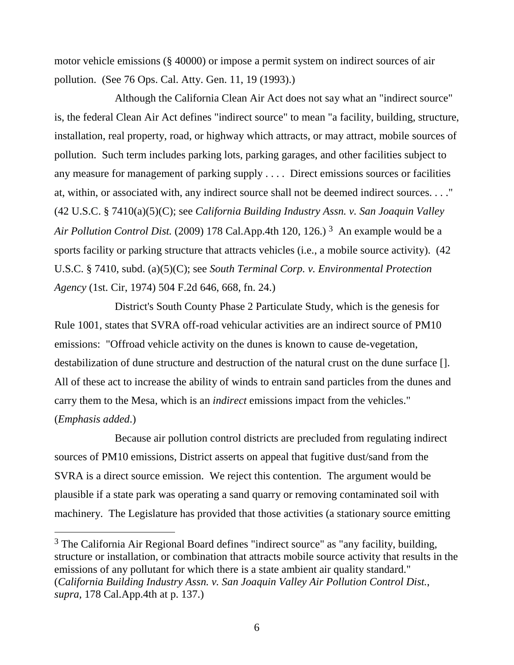motor vehicle emissions (§ 40000) or impose a permit system on indirect sources of air pollution. (See 76 Ops. Cal. Atty. Gen. 11, 19 (1993).)

Although the California Clean Air Act does not say what an "indirect source" is, the federal Clean Air Act defines "indirect source" to mean "a facility, building, structure, installation, real property, road, or highway which attracts, or may attract, mobile sources of pollution. Such term includes parking lots, parking garages, and other facilities subject to any measure for management of parking supply . . . . Direct emissions sources or facilities at, within, or associated with, any indirect source shall not be deemed indirect sources. . . ." (42 U.S.C. § 7410(a)(5)(C); see *California Building Industry Assn. v. San Joaquin Valley Air Pollution Control Dist.* (2009) 178 Cal.App.4th 120, 126.) <sup>3</sup> An example would be a sports facility or parking structure that attracts vehicles (i.e., a mobile source activity). (42 U.S.C. § 7410, subd. (a)(5)(C); see *South Terminal Corp. v. Environmental Protection Agency* (1st. Cir, 1974) 504 F.2d 646, 668, fn. 24.)

District's South County Phase 2 Particulate Study, which is the genesis for Rule 1001, states that SVRA off-road vehicular activities are an indirect source of PM10 emissions: "Offroad vehicle activity on the dunes is known to cause de-vegetation, destabilization of dune structure and destruction of the natural crust on the dune surface []. All of these act to increase the ability of winds to entrain sand particles from the dunes and carry them to the Mesa, which is an *indirect* emissions impact from the vehicles." (*Emphasis added*.)

Because air pollution control districts are precluded from regulating indirect sources of PM10 emissions, District asserts on appeal that fugitive dust/sand from the SVRA is a direct source emission. We reject this contention. The argument would be plausible if a state park was operating a sand quarry or removing contaminated soil with machinery. The Legislature has provided that those activities (a stationary source emitting

<sup>&</sup>lt;sup>3</sup> The California Air Regional Board defines "indirect source" as "any facility, building, structure or installation, or combination that attracts mobile source activity that results in the emissions of any pollutant for which there is a state ambient air quality standard." (*California Building Industry Assn. v. San Joaquin Valley Air Pollution Control Dist.*, *supra,* 178 Cal.App.4th at p. 137.)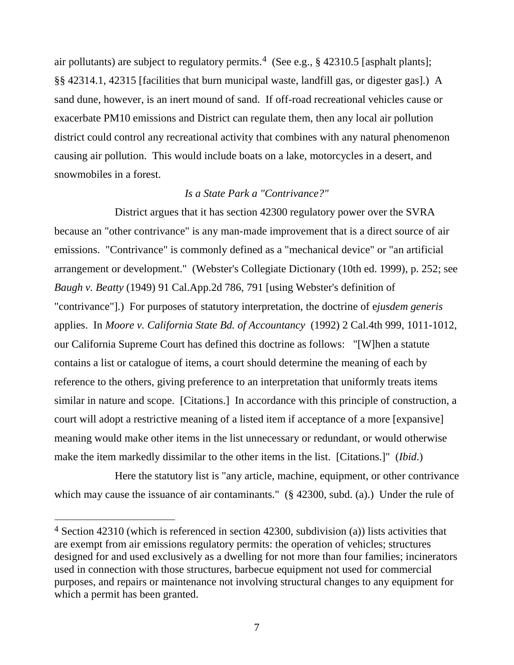air pollutants) are subject to regulatory permits.<sup>4</sup> (See e.g.,  $\S$  42310.5 [asphalt plants]; §§ 42314.1, 42315 [facilities that burn municipal waste, landfill gas, or digester gas].) A sand dune, however, is an inert mound of sand. If off-road recreational vehicles cause or exacerbate PM10 emissions and District can regulate them, then any local air pollution district could control any recreational activity that combines with any natural phenomenon causing air pollution. This would include boats on a lake, motorcycles in a desert, and snowmobiles in a forest.

#### *Is a State Park a "Contrivance?"*

District argues that it has section 42300 regulatory power over the SVRA because an "other contrivance" is any man-made improvement that is a direct source of air emissions. "Contrivance" is commonly defined as a "mechanical device" or "an artificial arrangement or development." (Webster's Collegiate Dictionary (10th ed. 1999), p. 252; see *Baugh v. Beatty* (1949) 91 Cal.App.2d 786, 791 [using Webster's definition of "contrivance"].) For purposes of statutory interpretation, the doctrine of e*jusdem generis* applies. In *Moore v. California State Bd. of Accountancy* (1992) 2 Cal.4th 999, 1011-1012, our California Supreme Court has defined this doctrine as follows: "[W]hen a statute contains a list or catalogue of items, a court should determine the meaning of each by reference to the others, giving preference to an interpretation that uniformly treats items similar in nature and scope. [Citations.] In accordance with this principle of construction, a court will adopt a restrictive meaning of a listed item if acceptance of a more [expansive] meaning would make other items in the list unnecessary or redundant, or would otherwise make the item markedly dissimilar to the other items in the list. [Citations.]" (*Ibid*.)

Here the statutory list is "any article, machine, equipment, or other contrivance which may cause the issuance of air contaminants." (§ 42300, subd. (a).) Under the rule of

 $4$  Section 42310 (which is referenced in section 42300, subdivision (a)) lists activities that are exempt from air emissions regulatory permits: the operation of vehicles; structures designed for and used exclusively as a dwelling for not more than four families; incinerators used in connection with those structures, barbecue equipment not used for commercial purposes, and repairs or maintenance not involving structural changes to any equipment for which a permit has been granted.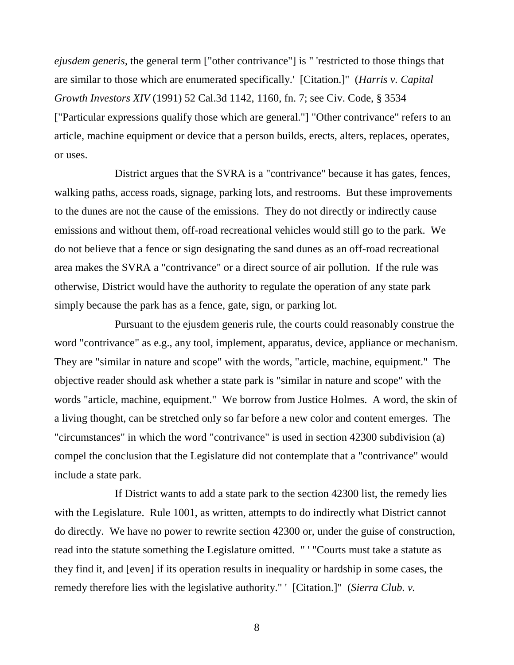*ejusdem generis,* the general term ["other contrivance"] is " 'restricted to those things that are similar to those which are enumerated specifically.' [Citation.]" (*Harris v. Capital Growth Investors XIV* (1991) 52 Cal.3d 1142, 1160, fn. 7; see Civ. Code, § 3534 ["Particular expressions qualify those which are general."] "Other contrivance" refers to an article, machine equipment or device that a person builds, erects, alters, replaces, operates, or uses.

District argues that the SVRA is a "contrivance" because it has gates, fences, walking paths, access roads, signage, parking lots, and restrooms. But these improvements to the dunes are not the cause of the emissions. They do not directly or indirectly cause emissions and without them, off-road recreational vehicles would still go to the park. We do not believe that a fence or sign designating the sand dunes as an off-road recreational area makes the SVRA a "contrivance" or a direct source of air pollution. If the rule was otherwise, District would have the authority to regulate the operation of any state park simply because the park has as a fence, gate, sign, or parking lot.

Pursuant to the ejusdem generis rule, the courts could reasonably construe the word "contrivance" as e.g., any tool, implement, apparatus, device, appliance or mechanism. They are "similar in nature and scope" with the words, "article, machine, equipment." The objective reader should ask whether a state park is "similar in nature and scope" with the words "article, machine, equipment." We borrow from Justice Holmes. A word, the skin of a living thought, can be stretched only so far before a new color and content emerges. The "circumstances" in which the word "contrivance" is used in section 42300 subdivision (a) compel the conclusion that the Legislature did not contemplate that a "contrivance" would include a state park.

If District wants to add a state park to the section 42300 list, the remedy lies with the Legislature. Rule 1001, as written, attempts to do indirectly what District cannot do directly. We have no power to rewrite section 42300 or, under the guise of construction, read into the statute something the Legislature omitted. " ' "Courts must take a statute as they find it, and [even] if its operation results in inequality or hardship in some cases, the remedy therefore lies with the legislative authority." ' [Citation.]" (*Sierra Club. v.* 

8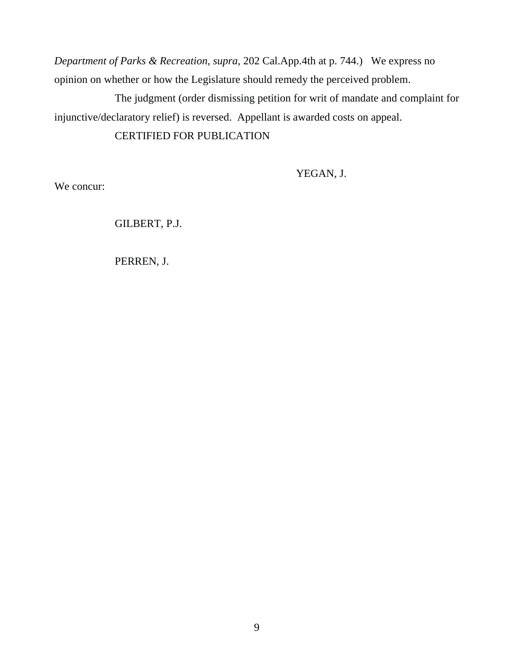*Department of Parks & Recreation, supra,* 202 Cal.App.4th at p. 744.) We express no opinion on whether or how the Legislature should remedy the perceived problem.

The judgment (order dismissing petition for writ of mandate and complaint for injunctive/declaratory relief) is reversed. Appellant is awarded costs on appeal.

# CERTIFIED FOR PUBLICATION

YEGAN, J.

We concur:

GILBERT, P.J.

PERREN, J.